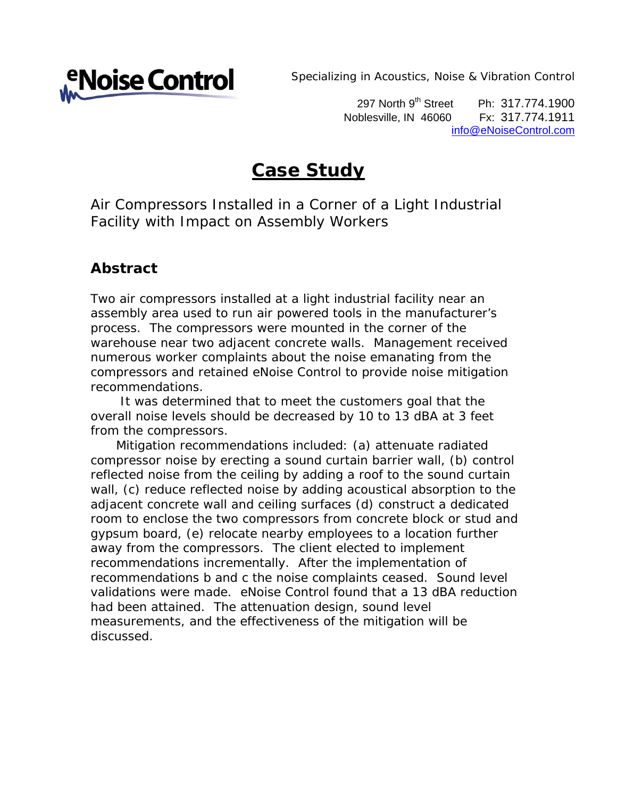

*Specializing in Acoustics, Noise & Vibration Control*

297 North 9<sup>th</sup> Street Ph: 317.774.1900 Noblesville, IN 46060 Fx: 317.774.1911 info@eNoiseControl.com

# **Case Study**

Air Compressors Installed in a Corner of a Light Industrial Facility with Impact on Assembly Workers

#### **Abstract**

Two air compressors installed at a light industrial facility near an assembly area used to run air powered tools in the manufacturer's process. The compressors were mounted in the corner of the warehouse near two adjacent concrete walls. Management received numerous worker complaints about the noise emanating from the compressors and retained eNoise Control to provide noise mitigation recommendations.

 It was determined that to meet the customers goal that the overall noise levels should be decreased by 10 to 13 dBA at 3 feet from the compressors.

 Mitigation recommendations included: (a) attenuate radiated compressor noise by erecting a sound curtain barrier wall, (b) control reflected noise from the ceiling by adding a roof to the sound curtain wall, (c) reduce reflected noise by adding acoustical absorption to the adjacent concrete wall and ceiling surfaces (d) construct a dedicated room to enclose the two compressors from concrete block or stud and gypsum board, (e) relocate nearby employees to a location further away from the compressors. The client elected to implement recommendations incrementally. After the implementation of recommendations b and c the noise complaints ceased. Sound level validations were made. eNoise Control found that a 13 dBA reduction had been attained. The attenuation design, sound level measurements, and the effectiveness of the mitigation will be discussed.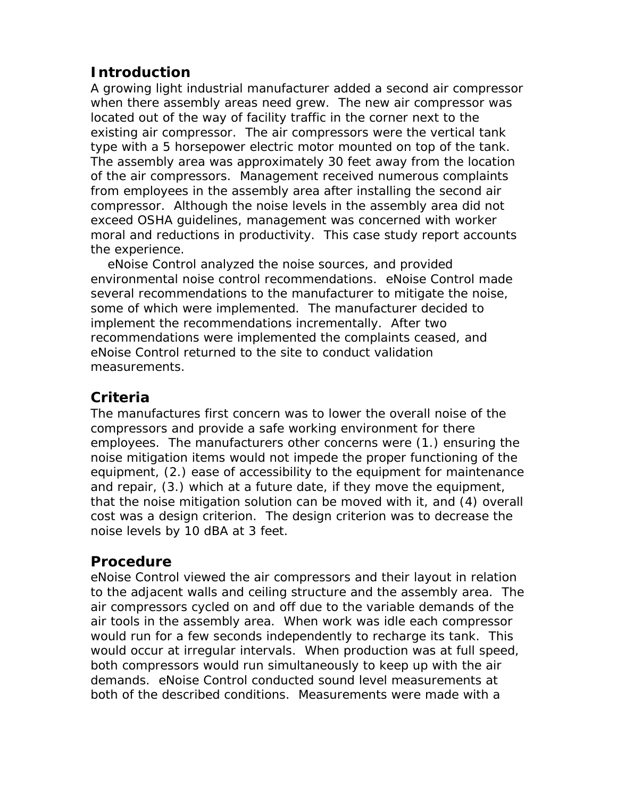# **Introduction**

A growing light industrial manufacturer added a second air compressor when there assembly areas need grew. The new air compressor was located out of the way of facility traffic in the corner next to the existing air compressor. The air compressors were the vertical tank type with a 5 horsepower electric motor mounted on top of the tank. The assembly area was approximately 30 feet away from the location of the air compressors. Management received numerous complaints from employees in the assembly area after installing the second air compressor. Although the noise levels in the assembly area did not exceed OSHA guidelines, management was concerned with worker moral and reductions in productivity. This case study report accounts the experience.

 eNoise Control analyzed the noise sources, and provided environmental noise control recommendations. eNoise Control made several recommendations to the manufacturer to mitigate the noise, some of which were implemented. The manufacturer decided to implement the recommendations incrementally. After two recommendations were implemented the complaints ceased, and eNoise Control returned to the site to conduct validation measurements.

## **Criteria**

The manufactures first concern was to lower the overall noise of the compressors and provide a safe working environment for there employees. The manufacturers other concerns were (1.) ensuring the noise mitigation items would not impede the proper functioning of the equipment, (2.) ease of accessibility to the equipment for maintenance and repair, (3.) which at a future date, if they move the equipment, that the noise mitigation solution can be moved with it, and (4) overall cost was a design criterion. The design criterion was to decrease the noise levels by 10 dBA at 3 feet.

### **Procedure**

eNoise Control viewed the air compressors and their layout in relation to the adjacent walls and ceiling structure and the assembly area. The air compressors cycled on and off due to the variable demands of the air tools in the assembly area. When work was idle each compressor would run for a few seconds independently to recharge its tank. This would occur at irregular intervals. When production was at full speed, both compressors would run simultaneously to keep up with the air demands. eNoise Control conducted sound level measurements at both of the described conditions. Measurements were made with a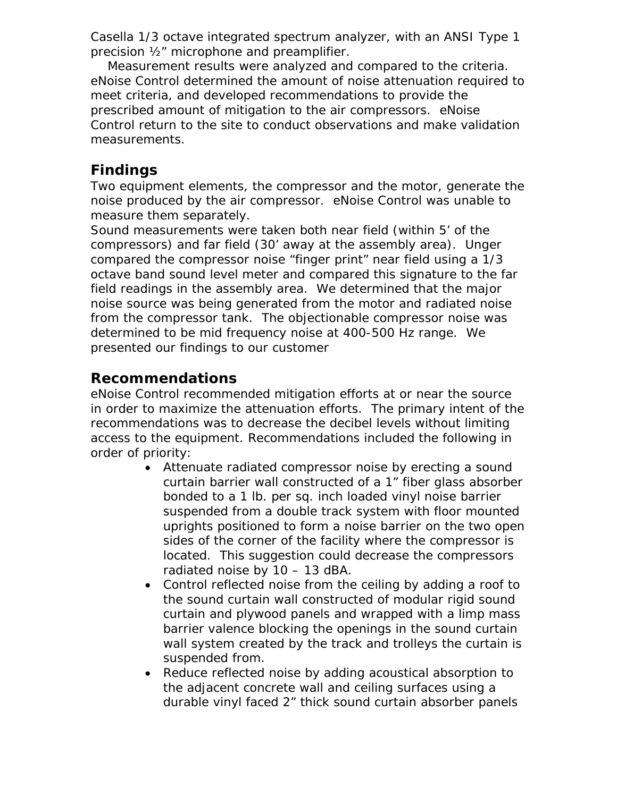Casella 1/3 octave integrated spectrum analyzer, with an ANSI Type 1 precision ½" microphone and preamplifier.

 Measurement results were analyzed and compared to the criteria. eNoise Control determined the amount of noise attenuation required to meet criteria, and developed recommendations to provide the prescribed amount of mitigation to the air compressors. eNoise Control return to the site to conduct observations and make validation measurements.

#### **Findings**

Two equipment elements, the compressor and the motor, generate the noise produced by the air compressor. eNoise Control was unable to measure them separately.

Sound measurements were taken both near field (within 5' of the compressors) and far field (30' away at the assembly area). Unger compared the compressor noise "finger print" near field using a 1/3 octave band sound level meter and compared this signature to the far field readings in the assembly area. We determined that the major noise source was being generated from the motor and radiated noise from the compressor tank. The objectionable compressor noise was determined to be mid frequency noise at 400-500 Hz range. We presented our findings to our customer

### **Recommendations**

eNoise Control recommended mitigation efforts at or near the source in order to maximize the attenuation efforts. The primary intent of the recommendations was to decrease the decibel levels without limiting access to the equipment. Recommendations included the following in order of priority:

- Attenuate radiated compressor noise by erecting a sound curtain barrier wall constructed of a 1" fiber glass absorber bonded to a 1 lb. per sq. inch loaded vinyl noise barrier suspended from a double track system with floor mounted uprights positioned to form a noise barrier on the two open sides of the corner of the facility where the compressor is located. This suggestion could decrease the compressors radiated noise by 10 – 13 dBA.
- Control reflected noise from the ceiling by adding a roof to the sound curtain wall constructed of modular rigid sound curtain and plywood panels and wrapped with a limp mass barrier valence blocking the openings in the sound curtain wall system created by the track and trolleys the curtain is suspended from.
- Reduce reflected noise by adding acoustical absorption to the adjacent concrete wall and ceiling surfaces using a durable vinyl faced 2" thick sound curtain absorber panels